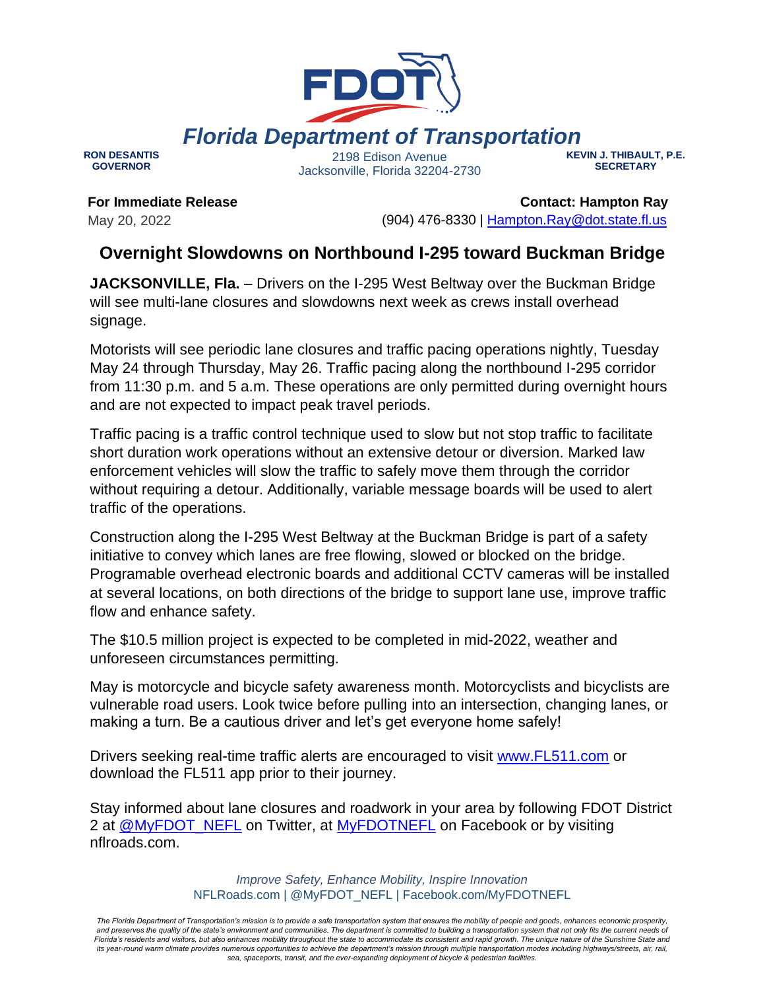

**RON DESANTIS GOVERNOR**

2198 Edison Avenue Jacksonville, Florida 32204-2730 **KEVIN J. THIBAULT, P.E. SECRETARY**

**For Immediate Release** May 20, 2022

 **Contact: Hampton Ray** (904) 476-8330 | [Hampton.Ray@dot.state.fl.us](mailto:Hampton.Ray@dot.state.fl.us)

## **Overnight Slowdowns on Northbound I-295 toward Buckman Bridge**

**JACKSONVILLE, Fla.** – Drivers on the I-295 West Beltway over the Buckman Bridge will see multi-lane closures and slowdowns next week as crews install overhead signage.

Motorists will see periodic lane closures and traffic pacing operations nightly, Tuesday May 24 through Thursday, May 26. Traffic pacing along the northbound I-295 corridor from 11:30 p.m. and 5 a.m. These operations are only permitted during overnight hours and are not expected to impact peak travel periods.

Traffic pacing is a traffic control technique used to slow but not stop traffic to facilitate short duration work operations without an extensive detour or diversion. Marked law enforcement vehicles will slow the traffic to safely move them through the corridor without requiring a detour. Additionally, variable message boards will be used to alert traffic of the operations.

Construction along the I-295 West Beltway at the Buckman Bridge is part of a safety initiative to convey which lanes are free flowing, slowed or blocked on the bridge. Programable overhead electronic boards and additional CCTV cameras will be installed at several locations, on both directions of the bridge to support lane use, improve traffic flow and enhance safety.

The \$10.5 million project is expected to be completed in mid-2022, weather and unforeseen circumstances permitting.

May is motorcycle and bicycle safety awareness month. Motorcyclists and bicyclists are vulnerable road users. Look twice before pulling into an intersection, changing lanes, or making a turn. Be a cautious driver and let's get everyone home safely!

Drivers seeking real-time traffic alerts are encouraged to visit [www.FL511.com](https://gcc02.safelinks.protection.outlook.com/?url=https%3A%2F%2Furldefense.com%2Fv3%2F__http%3A%2Fwww.FL511.com__%3B!!OepYZ6Q!tcw0MYey6-Hxih8sjNL9KJyiUXniqZyi3mxWHpbg0CoPpAmGSRsoU1J1TN5SsM2zQ84ssQ%24&data=05%7C01%7CHampton.Ray%40dot.state.fl.us%7C41845014e6e54cdc48e708da39d3c6f4%7Cdb21de5dbc9c420c8f3f8f08f85b5ada%7C0%7C0%7C637885878993489053%7CUnknown%7CTWFpbGZsb3d8eyJWIjoiMC4wLjAwMDAiLCJQIjoiV2luMzIiLCJBTiI6Ik1haWwiLCJXVCI6Mn0%3D%7C3000%7C%7C%7C&sdata=4z7YQhVbdtWTbwKBw3L1VsuiSxWBAJxEi5W2YlV8HZk%3D&reserved=0) or download the FL511 app prior to their journey.

Stay informed about lane closures and roadwork in your area by following FDOT District 2 at [@MyFDOT\\_NEFL](https://gcc02.safelinks.protection.outlook.com/?url=https%3A%2F%2Ftwitter.com%2FMyFDOT_NEFL&data=05%7C01%7CHampton.Ray%40dot.state.fl.us%7C41845014e6e54cdc48e708da39d3c6f4%7Cdb21de5dbc9c420c8f3f8f08f85b5ada%7C0%7C0%7C637885878993489053%7CUnknown%7CTWFpbGZsb3d8eyJWIjoiMC4wLjAwMDAiLCJQIjoiV2luMzIiLCJBTiI6Ik1haWwiLCJXVCI6Mn0%3D%7C3000%7C%7C%7C&sdata=uVm%2BSmWaPzWePvpMsofq1PviXfiIjo5dr1%2BOHOPsFqs%3D&reserved=0) on Twitter, at [MyFDOTNEFL](https://gcc02.safelinks.protection.outlook.com/?url=https%3A%2F%2Fwww.facebook.com%2FMyFDOTNEFL&data=05%7C01%7CHampton.Ray%40dot.state.fl.us%7C41845014e6e54cdc48e708da39d3c6f4%7Cdb21de5dbc9c420c8f3f8f08f85b5ada%7C0%7C0%7C637885878993489053%7CUnknown%7CTWFpbGZsb3d8eyJWIjoiMC4wLjAwMDAiLCJQIjoiV2luMzIiLCJBTiI6Ik1haWwiLCJXVCI6Mn0%3D%7C3000%7C%7C%7C&sdata=7LFYwz4%2FrQvHvJLfXEw6Pt52hwXHEXH52Ui1YIPe0WQ%3D&reserved=0) on Facebook or by visiting nflroads.com.

> *Improve Safety, Enhance Mobility, Inspire Innovation* NFLRoads.com | @MyFDOT\_NEFL | Facebook.com/MyFDOTNEFL

*The Florida Department of Transportation's mission is to provide a safe transportation system that ensures the mobility of people and goods, enhances economic prosperity,*  and preserves the quality of the state's environment and communities. The department is committed to building a transportation system that not only fits the current needs of Florida's residents and visitors, but also enhances mobility throughout the state to accommodate its consistent and rapid growth. The unique nature of the Sunshine State and *its year-round warm climate provides numerous opportunities to achieve the department's mission through multiple transportation modes including highways/streets, air, rail, sea, spaceports, transit, and the ever-expanding deployment of bicycle & pedestrian facilities.*